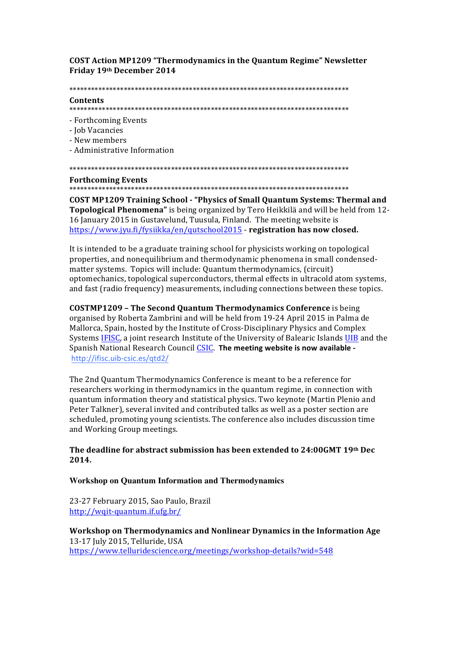**COST Action MP1209 "Thermodynamics in the Quantum Regime" Newsletter** Friday 19th December 2014

#### Contents

- Forthcoming Events
- Job Vacancies
- New members
- Administrative Information

#### 

#### **Forthcoming Events**

**COST MP1209 Training School - "Physics of Small Quantum Systems: Thermal and** Topological Phenomena" is being organized by Tero Heikkilä and will be held from 12-16 January 2015 in Gustavelund, Tuusula, Finland. The meeting website is https://www.jyu.fi/fysiikka/en/qutschool2015 - registration has now closed.

It is intended to be a graduate training school for physicists working on topological properties, and nonequilibrium and thermodynamic phenomena in small condensedmatter systems. Topics will include: Quantum thermodynamics, (circuit) optomechanics, topological superconductors, thermal effects in ultracold atom systems, and fast (radio frequency) measurements, including connections between these topics.

**COSTMP1209 - The Second Quantum Thermodynamics Conference** is being organised by Roberta Zambrini and will be held from 19-24 April 2015 in Palma de Mallorca, Spain, hosted by the Institute of Cross-Disciplinary Physics and Complex Systems IFISC, a joint research Institute of the University of Balearic Islands UIB and the Spanish National Research Council CSIC. The meeting website is now available http://ifisc.uib-csic.es/gtd2/

The 2nd Quantum Thermodynamics Conference is meant to be a reference for researchers working in thermodynamics in the quantum regime, in connection with quantum information theory and statistical physics. Two keynote (Martin Plenio and Peter Talkner), several invited and contributed talks as well as a poster section are scheduled, promoting young scientists. The conference also includes discussion time and Working Group meetings.

# The deadline for abstract submission has been extended to 24:00GMT 19th Dec 2014.

## **Workshop on Quantum Information and Thermodynamics**

23-27 February 2015, Sao Paulo, Brazil http://wqit-quantum.if.ufg.br/

Workshop on Thermodynamics and Nonlinear Dynamics in the Information Age 13-17 July 2015, Telluride, USA https://www.telluridescience.org/meetings/workshop-details?wid=548